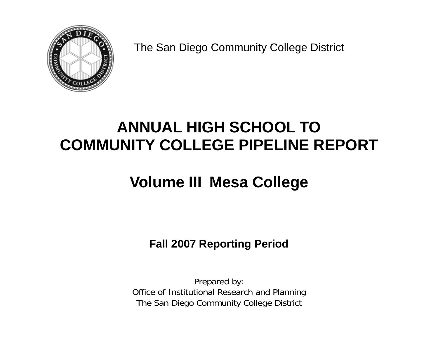

The San Diego Community College District

# **ANNUAL HIGH SCHOOL TO COMMUNITY COLLEGE PIPELINE REPORT**

# **Volume III Mesa College**

**Fall 2007 Reporting Period** 

Prepared by: Office of Institutional Research and Planning The San Diego Community College District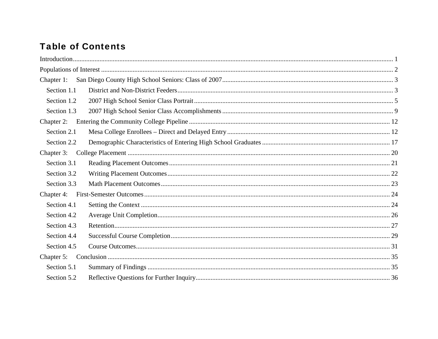# **Table of Contents**

| Chapter 1:  |  |
|-------------|--|
| Section 1.1 |  |
| Section 1.2 |  |
| Section 1.3 |  |
| Chapter 2:  |  |
| Section 2.1 |  |
| Section 2.2 |  |
| Chapter 3:  |  |
| Section 3.1 |  |
| Section 3.2 |  |
| Section 3.3 |  |
| Chapter 4:  |  |
| Section 4.1 |  |
| Section 4.2 |  |
| Section 4.3 |  |
| Section 4.4 |  |
| Section 4.5 |  |
| Chapter 5:  |  |
| Section 5.1 |  |
| Section 5.2 |  |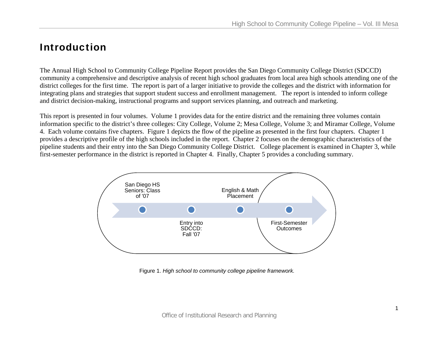# Introduction

The Annual High School to Community College Pipeline Report provides the San Diego Community College District (SDCCD) community a comprehensive and descriptive analysis of recent high school graduates from local area high schools attending one of the district colleges for the first time. The report is part of a larger initiative to provide the colleges and the district with information for integrating plans and strategies that support student success and enrollment management. The report is intended to inform college and district decision-making, instructional programs and support services planning, and outreach and marketing.

This report is presented in four volumes. Volume 1 provides data for the entire district and the remaining three volumes contain information specific to the district's three colleges: City College, Volume 2; Mesa College, Volume 3; and Miramar College, Volume 4. Each volume contains five chapters. Figure 1 depicts the flow of the pipeline as presented in the first four chapters. Chapter 1 provides a descriptive profile of the high schools included in the report. Chapter 2 focuses on the demographic characteristics of the pipeline students and their entry into the San Diego Community College District. College placement is examined in Chapter 3, while first-semester performance in the district is reported in Chapter 4. Finally, Chapter 5 provides a concluding summary.



Figure 1. *High school to community college pipeline framework.*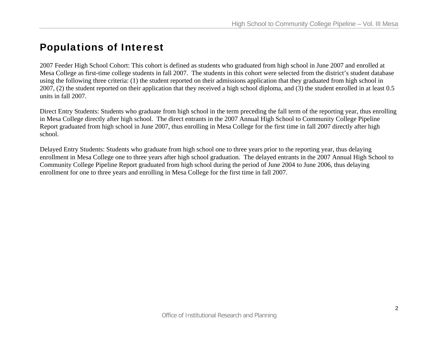# Populations of Interest

2007 Feeder High School Cohort: This cohort is defined as students who graduated from high school in June 2007 and enrolled at Mesa College as first-time college students in fall 2007. The students in this cohort were selected from the district's student database using the following three criteria: (1) the student reported on their admissions application that they graduated from high school in 2007, (2) the student reported on their application that they received a high school diploma, and (3) the student enrolled in at least 0.5 units in fall 2007.

Direct Entry Students: Students who graduate from high school in the term preceding the fall term of the reporting year, thus enrolling in Mesa College directly after high school. The direct entrants in the 2007 Annual High School to Community College Pipeline Report graduated from high school in June 2007, thus enrolling in Mesa College for the first time in fall 2007 directly after high school.

Delayed Entry Students: Students who graduate from high school one to three years prior to the reporting year, thus delaying enrollment in Mesa College one to three years after high school graduation. The delayed entrants in the 2007 Annual High School to Community College Pipeline Report graduated from high school during the period of June 2004 to June 2006, thus delaying enrollment for one to three years and enrolling in Mesa College for the first time in fall 2007.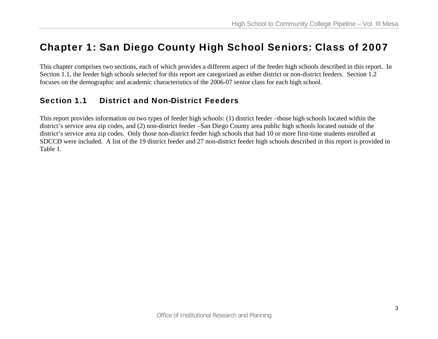# Chapter 1: San Diego County High School Seniors: Class of 2007

This chapter comprises two sections, each of which provides a different aspect of the feeder high schools described in this report. In Section 1.1, the feeder high schools selected for this report are categorized as either district or non-district feeders. Section 1.2 focuses on the demographic and academic characteristics of the 2006-07 senior class for each high school.

## Section 1.1 District and Non-District Feeders

This report provides information on two types of feeder high schools: (1) district feeder –those high schools located within the district's service area zip codes, and (2) non-district feeder –San Diego County area public high schools located outside of the district's service area zip codes. Only those non-district feeder high schools that had 10 or more first-time students enrolled at SDCCD were included. A list of the 19 district feeder and 27 non-district feeder high schools described in this report is provided in Table 1.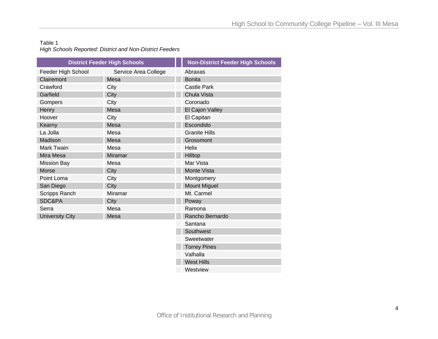#### Table 1 *High Schools Reported: District and Non-District Feeders*

|                        | <b>District Feeder High Schools</b> | <b>Non-District Feeder High Schools</b> |
|------------------------|-------------------------------------|-----------------------------------------|
| Feeder High School     | Service Area College                | Abraxas                                 |
| Clairemont             | Mesa                                | <b>Bonita</b>                           |
| Crawford               | City                                | <b>Castle Park</b>                      |
| Garfield               | City                                | Chula Vista                             |
| Gompers                | City                                | Coronado                                |
| Henry                  | Mesa                                | El Cajon Valley                         |
| Hoover                 | City                                | El Capitan                              |
| Kearny                 | Mesa                                | Escondido                               |
| La Jolla               | Mesa                                | <b>Granite Hills</b>                    |
| Madison                | Mesa                                | Grossmont                               |
| <b>Mark Twain</b>      | Mesa                                | <b>Helix</b>                            |
| Mira Mesa              | <b>Miramar</b>                      | Hilltop                                 |
| <b>Mission Bay</b>     | Mesa                                | Mar Vista                               |
| <b>Morse</b>           | City                                | Monte Vista                             |
| Point Loma             | City                                | Montgomery                              |
| San Diego              | City                                | <b>Mount Miguel</b>                     |
| Scripps Ranch          | <b>Miramar</b>                      | Mt. Carmel                              |
| SDC&PA                 | City                                | Poway                                   |
| Serra                  | Mesa                                | Ramona                                  |
| <b>University City</b> | Mesa                                | Rancho Bernardo                         |
|                        |                                     | Santana                                 |
|                        |                                     | Southwest                               |
|                        |                                     | Sweetwater                              |
|                        |                                     | <b>Torrey Pines</b>                     |
|                        |                                     | Valhalla                                |
|                        |                                     | <b>West Hills</b>                       |
|                        |                                     |                                         |

**Westview**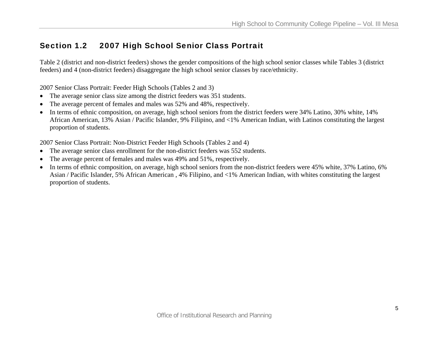# Section 1.2 2007 High School Senior Class Portrait

Table 2 (district and non-district feeders) shows the gender compositions of the high school senior classes while Tables 3 (district feeders) and 4 (non-district feeders) disaggregate the high school senior classes by race/ethnicity.

2007 Senior Class Portrait: Feeder High Schools (Tables 2 and 3)

- The average senior class size among the district feeders was 351 students.
- •The average percent of females and males was 52% and 48%, respectively.
- • In terms of ethnic composition, on average, high school seniors from the district feeders were 34% Latino, 30% white, 14% African American, 13% Asian / Pacific Islander, 9% Filipino, and <1% American Indian, with Latinos constituting the largest proportion of students.

2007 Senior Class Portrait: Non-District Feeder High Schools (Tables 2 and 4)

- The average senior class enrollment for the non-district feeders was 552 students.
- •The average percent of females and males was 49% and 51%, respectively.
- • In terms of ethnic composition, on average, high school seniors from the non-district feeders were 45% white, 37% Latino, 6% Asian / Pacific Islander, 5% African American , 4% Filipino, and <1% American Indian, with whites constituting the largest proportion of students.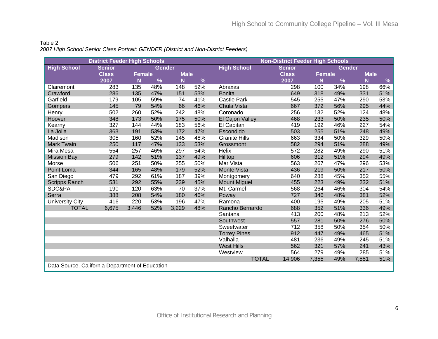#### Table 2 *2007 High School Senior Class Portrait: GENDER (District and Non-District Feeders)*

|                                                 | <b>District Feeder High Schools</b> |               |               |             |              | <b>Non-District Feeder High Schools</b> |               |        |        |             |      |
|-------------------------------------------------|-------------------------------------|---------------|---------------|-------------|--------------|-----------------------------------------|---------------|--------|--------|-------------|------|
| <b>High School</b>                              | <b>Senior</b>                       |               | <b>Gender</b> |             |              | <b>High School</b>                      | <b>Senior</b> |        | Gender |             |      |
|                                                 | <b>Class</b>                        | <b>Female</b> |               | <b>Male</b> |              |                                         | <b>Class</b>  | Female |        | <b>Male</b> |      |
|                                                 | 2007                                | N             | %             | N           | %            |                                         | 2007          | N      | %      | N           | $\%$ |
| Clairemont                                      | 283                                 | 135           | 48%           | 148         | 52%          | Abraxas                                 | 298           | 100    | 34%    | 198         | 66%  |
| Crawford                                        | 286                                 | 135           | 47%           | 151         | 53%          | <b>Bonita</b>                           | 649           | 318    | 49%    | 331         | 51%  |
| Garfield                                        | 179                                 | 105           | 59%           | 74          | 41%          | <b>Castle Park</b>                      | 545           | 255    | 47%    | 290         | 53%  |
| Gompers                                         | 145                                 | 79            | 54%           | 66          | 46%          | Chula Vista                             | 667           | 372    | 56%    | 295         | 44%  |
| Henry                                           | 502                                 | 260           | 52%           | 242         | 48%          | Coronado                                | 256           | 132    | 52%    | 124         | 48%  |
| Hoover                                          | 348                                 | 173           | 50%           | 175         | 50%          | El Cajon Valley                         | 468           | 233    | 50%    | 235         | 50%  |
| Kearny                                          | 327                                 | 144           | 44%           | 183         | 56%          | El Capitan                              | 419           | 192    | 46%    | 227         | 54%  |
| La Jolla                                        | 363                                 | 191           | 53%           | 172         | 47%          | Escondido                               | 503           | 255    | 51%    | 248         | 49%  |
| Madison                                         | 305                                 | 160           | 52%           | 145         | 48%          | <b>Granite Hills</b>                    | 663           | 334    | 50%    | 329         | 50%  |
| <b>Mark Twain</b>                               | 250                                 | 117           | 47%           | 133         | 53%          | Grossmont                               | 582           | 294    | 51%    | 288         | 49%  |
| Mira Mesa                                       | 554                                 | 257           | 46%           | 297         | 54%          | Helix                                   | 572           | 282    | 49%    | 290         | 51%  |
| <b>Mission Bay</b>                              | 279                                 | 142           | 51%           | 137         | 49%          | Hilltop                                 | 606           | 312    | 51%    | 294         | 49%  |
| Morse                                           | 506                                 | 251           | 50%           | 255         | 50%          | Mar Vista                               | 563           | 267    | 47%    | 296         | 53%  |
| Point Loma                                      | 344                                 | 165           | 48%           | 179         | 52%          | <b>Monte Vista</b>                      | 436           | 219    | 50%    | 217         | 50%  |
| San Diego                                       | 479                                 | 292           | 61%           | 187         | 39%          | Montgomery                              | 640           | 288    | 45%    | 352         | 55%  |
| <b>Scripps Ranch</b>                            | 531                                 | 292           | 55%           | 239         | 45%          | <b>Mount Miguel</b>                     | 455           | 223    | 49%    | 232         | 51%  |
| SDC&PA                                          | 190                                 | 120           | 63%           | 70          | 37%          | Mt. Carmel                              | 568           | 264    | 46%    | 304         | 54%  |
| Serra                                           | 388                                 | 208           | 54%           | 180         | 46%          | Poway                                   | 727           | 346    | 48%    | 381         | 52%  |
| <b>University City</b>                          | 416                                 | 220           | 53%           | 196         | 47%          | Ramona                                  | 400           | 195    | 49%    | 205         | 51%  |
| <b>TOTAL</b>                                    | 6,675                               | 3,446         | 52%           | 3,229       | 48%          | Rancho Bernardo                         | 688           | 352    | 51%    | 336         | 49%  |
|                                                 |                                     |               |               |             |              | Santana                                 | 413           | 200    | 48%    | 213         | 52%  |
|                                                 |                                     |               |               |             |              | Southwest                               | 557           | 281    | 50%    | 276         | 50%  |
|                                                 |                                     |               |               |             |              | Sweetwater                              | 712           | 358    | 50%    | 354         | 50%  |
|                                                 |                                     |               |               |             |              | <b>Torrey Pines</b>                     | 912           | 447    | 49%    | 465         | 51%  |
|                                                 |                                     |               |               |             |              | Valhalla                                | 481           | 236    | 49%    | 245         | 51%  |
|                                                 |                                     |               |               |             |              | <b>West Hills</b>                       | 562           | 321    | 57%    | 241         | 43%  |
|                                                 |                                     |               |               |             |              | Westview                                | 564           | 279    | 49%    | 285         | 51%  |
|                                                 |                                     |               |               |             | <b>TOTAL</b> | 14,906                                  | 7,355         | 49%    | 7,551  | 51%         |      |
| Data Source. California Department of Education |                                     |               |               |             |              |                                         |               |        |        |             |      |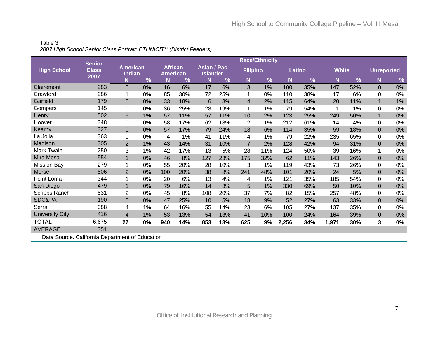#### Table 3 *2007 High School Senior Class Portrait: ETHNICITY (District Feeders)*

|                                                 | <b>Senior</b>        |                                  |    |                                   |     |                                       |     |                 | <b>Race/Ethnicity</b> |       |               |              |     |                   |       |
|-------------------------------------------------|----------------------|----------------------------------|----|-----------------------------------|-----|---------------------------------------|-----|-----------------|-----------------------|-------|---------------|--------------|-----|-------------------|-------|
| <b>High School</b>                              | <b>Class</b><br>2007 | <b>American</b><br><b>Indian</b> |    | <b>African</b><br><b>American</b> |     | <b>Asian / Pac</b><br><b>Islander</b> |     | <b>Filipino</b> |                       |       | <b>Latino</b> | <b>White</b> |     | <b>Unreported</b> |       |
|                                                 |                      | N                                | %  | N                                 | %   | N                                     | %   | N               | $\frac{9}{6}$         | N     | %             | N            | %   | N                 | %     |
| Clairemont                                      | 283                  | $\overline{0}$                   | 0% | 16                                | 6%  | 17                                    | 6%  | 3               | 1%                    | 100   | 35%           | 147          | 52% | $\overline{0}$    | 0%    |
| Crawford                                        | 286                  | 1                                | 0% | 85                                | 30% | 72                                    | 25% | 1               | 0%                    | 110   | 38%           | 17           | 6%  | 0                 | 0%    |
| Garfield                                        | 179                  | $\overline{0}$                   | 0% | 33                                | 18% | 6                                     | 3%  | $\overline{4}$  | 2%                    | 115   | 64%           | 20           | 11% |                   | $1\%$ |
| Gompers                                         | 145                  | $\Omega$                         | 0% | 36                                | 25% | 28                                    | 19% | 1               | 1%                    | 79    | 54%           |              | 1%  | 0                 | 0%    |
| Henry                                           | 502                  | 5                                | 1% | 57                                | 11% | 57                                    | 11% | 10              | 2%                    | 123   | 25%           | 249          | 50% | 1                 | $0\%$ |
| Hoover                                          | 348                  | 0                                | 0% | 58                                | 17% | 62                                    | 18% | 2               | 1%                    | 212   | 61%           | 14           | 4%  | $\Omega$          | 0%    |
| Kearny                                          | 327                  | $\overline{0}$                   | 0% | 57                                | 17% | 79                                    | 24% | 18              | 6%                    | 114   | 35%           | 59           | 18% | $\mathbf 0$       | $0\%$ |
| La Jolla                                        | 363                  | 0                                | 0% | 4                                 | 1%  | 41                                    | 11% | 4               | 1%                    | 79    | 22%           | 235          | 65% | 0                 | $0\%$ |
| Madison                                         | 305                  | $\overline{2}$                   | 1% | 43                                | 14% | 31                                    | 10% | $\overline{7}$  | 2%                    | 128   | 42%           | 94           | 31% | $\overline{0}$    | $0\%$ |
| Mark Twain                                      | 250                  | 3                                | 1% | 42                                | 17% | 13                                    | 5%  | 28              | 11%                   | 124   | 50%           | 39           | 16% | 1                 | 0%    |
| Mira Mesa                                       | 554                  | $\mathbf{1}$                     | 0% | 46                                | 8%  | 127                                   | 23% | 175             | 32%                   | 62    | 11%           | 143          | 26% | $\overline{0}$    | $0\%$ |
| <b>Mission Bay</b>                              | 279                  | 1                                | 0% | 55                                | 20% | 28                                    | 10% | 3               | 1%                    | 119   | 43%           | 73           | 26% | $\mathbf 0$       | $0\%$ |
| Morse                                           | 506                  | $\overline{2}$                   | 0% | 100                               | 20% | 38                                    | 8%  | 241             | 48%                   | 101   | 20%           | 24           | 5%  | $\overline{0}$    | $0\%$ |
| Point Loma                                      | 344                  |                                  | 0% | 20                                | 6%  | 13                                    | 4%  | 4               | 1%                    | 121   | 35%           | 185          | 54% | $\Omega$          | 0%    |
| San Diego                                       | 479                  | $\mathbf 1$                      | 0% | 79                                | 16% | 14                                    | 3%  | 5               | 1%                    | 330   | 69%           | 50           | 10% | $\mathbf{0}$      | 0%    |
| Scripps Ranch                                   | 531                  | $\overline{2}$                   | 0% | 45                                | 8%  | 108                                   | 20% | 37              | 7%                    | 82    | 15%           | 257          | 48% | 0                 | 0%    |
| SDC&PA                                          | 190                  | $\overline{0}$                   | 0% | 47                                | 25% | 10                                    | 5%  | 18              | 9%                    | 52    | 27%           | 63           | 33% | $\overline{0}$    | $0\%$ |
| Serra                                           | 388                  | 4                                | 1% | 64                                | 16% | 55                                    | 14% | 23              | 6%                    | 105   | 27%           | 137          | 35% | 0                 | $0\%$ |
| <b>University City</b>                          | 416                  | $\overline{4}$                   | 1% | 53                                | 13% | 54                                    | 13% | 41              | 10%                   | 100   | 24%           | 164          | 39% | $\mathbf{0}$      | $0\%$ |
| <b>TOTAL</b>                                    | 6,675                | 27                               | 0% | 940                               | 14% | 853                                   | 13% | 625             | 9%                    | 2,256 | 34%           | 1,971        | 30% | 3                 | $0\%$ |
| <b>AVERAGE</b>                                  | 351                  |                                  |    |                                   |     |                                       |     |                 |                       |       |               |              |     |                   |       |
| Data Source. California Department of Education |                      |                                  |    |                                   |     |                                       |     |                 |                       |       |               |              |     |                   |       |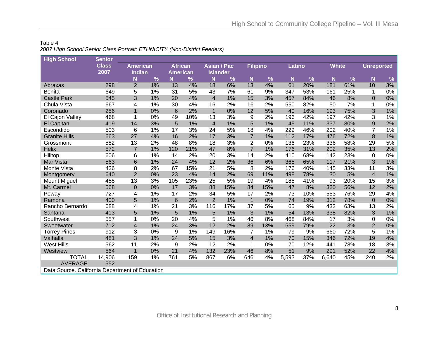#### Table 4 *2007 High School Senior Class Portrait: ETHNICITY (Non-District Feeders)*

| <b>High School</b>                              | <b>Senior</b>        |                           |               |                                   |     |                                       |     |                         |     |        |     |              |               |                   |       |
|-------------------------------------------------|----------------------|---------------------------|---------------|-----------------------------------|-----|---------------------------------------|-----|-------------------------|-----|--------|-----|--------------|---------------|-------------------|-------|
|                                                 | <b>Class</b><br>2007 | <b>American</b><br>Indian |               | <b>African</b><br><b>American</b> |     | <b>Asian / Pac</b><br><b>Islander</b> |     | <b>Filipino</b>         |     | Latino |     | <b>White</b> |               | <b>Unreported</b> |       |
|                                                 |                      | N                         | $\frac{9}{6}$ | N                                 | %   | N                                     | %   | N                       | %   | N      | %   | N            | $\frac{9}{6}$ | N                 | %     |
| Abraxas                                         | 298                  | $\overline{2}$            | 1%            | 13                                | 4%  | 18                                    | 6%  | 13                      | 4%  | 61     | 20% | 181          | 61%           | 10                | 3%    |
| <b>Bonita</b>                                   | 649                  | 5                         | 1%            | 31                                | 5%  | 43                                    | 7%  | 61                      | 9%  | 347    | 53% | 161          | 25%           | 1                 | 0%    |
| <b>Castle Park</b>                              | 545                  | 3                         | 1%            | 20                                | 4%  | $\overline{\mathbf{4}}$               | 1%  | 15                      | 3%  | 457    | 84% | 46           | 8%            | $\mathbf{0}$      | $0\%$ |
| Chula Vista                                     | 667                  | 4                         | 1%            | 30                                | 4%  | 16                                    | 2%  | 16                      | 2%  | 550    | 82% | 50           | 7%            | $\mathbf 1$       | 0%    |
| Coronado                                        | 256                  | 1                         | 0%            | $6\phantom{1}6$                   | 2%  | $\overline{1}$                        | 0%  | 12                      | 5%  | 40     | 16% | 193          | 75%           | 3                 | $1\%$ |
| El Cajon Valley                                 | 468                  | 1                         | 0%            | 49                                | 10% | 13                                    | 3%  | 9                       | 2%  | 196    | 42% | 197          | 42%           | 3                 | 1%    |
| El Capitan                                      | 419                  | 14                        | 3%            | 5                                 | 1%  | $\overline{4}$                        | 1%  | 5                       | 1%  | 45     | 11% | 337          | 80%           | 9                 | 2%    |
| Escondido                                       | 503                  | 6                         | 1%            | 17                                | 3%  | 24                                    | 5%  | 18                      | 4%  | 229    | 46% | 202          | 40%           | $\overline{7}$    | 1%    |
| <b>Granite Hills</b>                            | 663                  | 27                        | 4%            | 16                                | 2%  | 17                                    | 3%  | $\overline{7}$          | 1%  | 112    | 17% | 476          | 72%           | 8                 | 1%    |
| Grossmont                                       | 582                  | 13                        | 2%            | 48                                | 8%  | 18                                    | 3%  | $\overline{2}$          | 0%  | 136    | 23% | 336          | 58%           | 29                | 5%    |
| <b>Helix</b>                                    | 572                  | $\overline{7}$            | 1%            | 120                               | 21% | 47                                    | 8%  | $\overline{7}$          | 1%  | 176    | 31% | 202          | 35%           | 13                | 2%    |
| Hilltop                                         | 606                  | 6                         | 1%            | 14                                | 2%  | 20                                    | 3%  | 14                      | 2%  | 410    | 68% | 142          | 23%           | $\Omega$          | 0%    |
| Mar Vista                                       | 563                  | 6                         | 1%            | 24                                | 4%  | 12                                    | 2%  | 36                      | 6%  | 365    | 65% | 117          | 21%           | 3                 | $1\%$ |
| Monte Vista                                     | 436                  | 8                         | 2%            | 67                                | 15% | 21                                    | 5%  | 8                       | 2%  | 176    | 40% | 145          | 33%           | 11                | 3%    |
| Montgomery                                      | 640                  | $\overline{2}$            | 0%            | 23                                | 4%  | 14                                    | 2%  | 69                      | 11% | 498    | 78% | 30           | 5%            | $\overline{4}$    | $1\%$ |
| <b>Mount Miguel</b>                             | 455                  | 13                        | 3%            | 105                               | 23% | 25                                    | 5%  | 19                      | 4%  | 185    | 41% | 93           | 20%           | 15                | 3%    |
| Mt. Carmel                                      | 568                  | $\pmb{0}$                 | 0%            | 17                                | 3%  | 88                                    | 15% | 84                      | 15% | 47     | 8%  | 320          | 56%           | 12                | 2%    |
| Poway                                           | 727                  | 4                         | 1%            | 17                                | 2%  | 34                                    | 5%  | 17                      | 2%  | 73     | 10% | 553          | 76%           | 29                | 4%    |
| Ramona                                          | 400                  | 5                         | 1%            | $6\phantom{1}6$                   | 2%  | $\overline{2}$                        | 1%  | $\mathbf{1}$            | 0%  | 74     | 19% | 312          | 78%           | $\mathbf 0$       | $0\%$ |
| Rancho Bernardo                                 | 688                  | 4                         | 1%            | 21                                | 3%  | 116                                   | 17% | 37                      | 5%  | 65     | 9%  | 432          | 63%           | 13                | 2%    |
| Santana                                         | 413                  | 5                         | 1%            | 5                                 | 1%  | 5                                     | 1%  | 3                       | 1%  | 54     | 13% | 338          | 82%           | 3                 | $1\%$ |
| Southwest                                       | 557                  |                           | 0%            | 20                                | 4%  | 5                                     | 1%  | 46                      | 8%  | 468    | 84% | 17           | 3%            | 0                 | 0%    |
| Sweetwater                                      | 712                  | $\overline{4}$            | 1%            | 24                                | 3%  | 12                                    | 2%  | 89                      | 13% | 559    | 79% | 22           | 3%            | $\overline{2}$    | 0%    |
| <b>Torrey Pines</b>                             | 912                  | 3                         | 0%            | 9                                 | 1%  | 149                                   | 16% | 7                       | 1%  | 79     | 9%  | 660          | 72%           | 5                 | $1\%$ |
| Valhalla                                        | 481                  | 3                         | 1%            | 24                                | 5%  | 15                                    | 3%  | $\overline{\mathbf{4}}$ | 1%  | 70     | 15% | 346          | 72%           | 19                | $4\%$ |
| <b>West Hills</b>                               | 562                  | 11                        | 2%            | 9                                 | 2%  | 12                                    | 2%  | 1                       | 0%  | 70     | 12% | 441          | 78%           | 18                | 3%    |
| Westview                                        | 564                  | $\mathbf 1$               | 0%            | 21                                | 4%  | 132                                   | 23% | 46                      | 8%  | 51     | 9%  | 291          | 52%           | 22                | 4%    |
| <b>TOTAL</b>                                    | 14,906               | 159                       | 1%            | 761                               | 5%  | 867                                   | 6%  | 646                     | 4%  | 5,593  | 37% | 6,640        | 45%           | 240               | 2%    |
| <b>AVERAGE</b>                                  | 552                  |                           |               |                                   |     |                                       |     |                         |     |        |     |              |               |                   |       |
| Data Source. California Department of Education |                      |                           |               |                                   |     |                                       |     |                         |     |        |     |              |               |                   |       |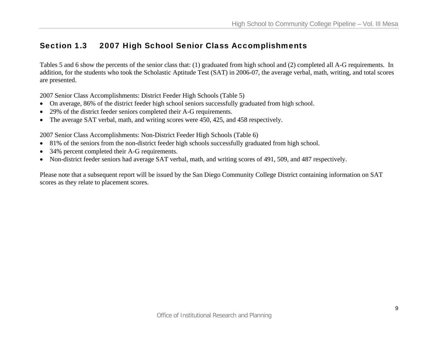## Section 1.3 2007 High School Senior Class Accomplishments

Tables 5 and 6 show the percents of the senior class that: (1) graduated from high school and (2) completed all A-G requirements. In addition, for the students who took the Scholastic Aptitude Test (SAT) in 2006-07, the average verbal, math, writing, and total scores are presented.

2007 Senior Class Accomplishments: District Feeder High Schools (Table 5)

- On average, 86% of the district feeder high school seniors successfully graduated from high school.
- 29% of the district feeder seniors completed their A-G requirements.
- The average SAT verbal, math, and writing scores were 450, 425, and 458 respectively.

2007 Senior Class Accomplishments: Non-District Feeder High Schools (Table 6)

- 81% of the seniors from the non-district feeder high schools successfully graduated from high school.
- $\bullet$ 34% percent completed their A-G requirements.
- Non-district feeder seniors had average SAT verbal, math, and writing scores of 491, 509, and 487 respectively.

Please note that a subsequent report will be issued by the San Diego Community College District containing information on SAT scores as they relate to placement scores.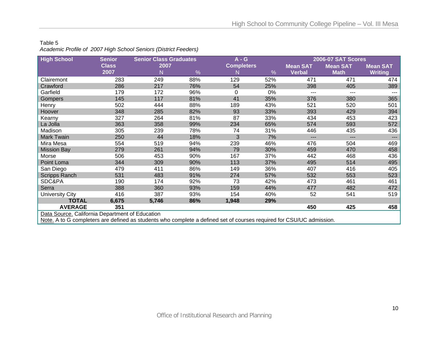#### Table 5

*Academic Profile of 2007 High School Seniors (District Feeders)* 

| <b>High School</b>                                                                                                   | <b>Senior</b> | <b>Senior Class Graduates</b> |     | $A - G$           |     | <b>2006-07 SAT Scores</b> |                   |                     |  |  |  |
|----------------------------------------------------------------------------------------------------------------------|---------------|-------------------------------|-----|-------------------|-----|---------------------------|-------------------|---------------------|--|--|--|
|                                                                                                                      | <b>Class</b>  | 2007                          |     | <b>Completers</b> |     | <b>Mean SAT</b>           | <b>Mean SAT</b>   | <b>Mean SAT</b>     |  |  |  |
|                                                                                                                      | 2007          | N                             | %   | N                 | %   | Verbal                    | <b>Math</b>       | <b>Writing</b>      |  |  |  |
| Clairemont                                                                                                           | 283           | 249                           | 88% | 129               | 52% | 471                       | 471               | 474                 |  |  |  |
| Crawford                                                                                                             | 286           | 217                           | 76% | 54                | 25% | 398                       | 405               | 389                 |  |  |  |
| Garfield                                                                                                             | 179           | 172                           | 96% | 0                 | 0%  | ---                       |                   | ---                 |  |  |  |
| Gompers                                                                                                              | 145           | 117                           | 81% | 41                | 35% | 376                       | 380               | 365                 |  |  |  |
| Henry                                                                                                                | 502           | 444                           | 88% | 189               | 43% | 521                       | 520               | 501                 |  |  |  |
| Hoover                                                                                                               | 348           | 285                           | 82% | 93                | 33% | 393                       | 429               | 394                 |  |  |  |
| Kearny                                                                                                               | 327           | 264                           | 81% | 87                | 33% | 434                       | 453               | 423                 |  |  |  |
| La Jolla                                                                                                             | 363           | 358                           | 99% | 234               | 65% | 574                       | 593               | 572                 |  |  |  |
| Madison                                                                                                              | 305           | 239                           | 78% | 74                | 31% | 446                       | 435               | 436                 |  |  |  |
| <b>Mark Twain</b>                                                                                                    | 250           | 44                            | 18% | 3                 | 7%  | ---                       | $\qquad \qquad -$ | $\qquad \qquad - -$ |  |  |  |
| Mira Mesa                                                                                                            | 554           | 519                           | 94% | 239               | 46% | 476                       | 504               | 469                 |  |  |  |
| <b>Mission Bay</b>                                                                                                   | 279           | 261                           | 94% | 79                | 30% | 459                       | 470               | 458                 |  |  |  |
| Morse                                                                                                                | 506           | 453                           | 90% | 167               | 37% | 442                       | 468               | 436                 |  |  |  |
| Point Loma                                                                                                           | 344           | 309                           | 90% | 113               | 37% | 495                       | 514               | 495                 |  |  |  |
| San Diego                                                                                                            | 479           | 411                           | 86% | 149               | 36% | 407                       | 416               | 405                 |  |  |  |
| <b>Scripps Ranch</b>                                                                                                 | 531           | 483                           | 91% | 274               | 57% | 532                       | 553               | 523                 |  |  |  |
| SDC&PA                                                                                                               | 190           | 174                           | 92% | 73                | 42% | 473                       | 461               | 461                 |  |  |  |
| Serra                                                                                                                | 388           | 360                           | 93% | 159               | 44% | 477                       | 482               | 472                 |  |  |  |
| University City                                                                                                      | 416           | 387                           | 93% | 154               | 40% | 52                        | 541               | 519                 |  |  |  |
| <b>TOTAL</b>                                                                                                         | 6,675         | 5,746                         | 86% | 1,948             | 29% |                           |                   |                     |  |  |  |
| <b>AVERAGE</b>                                                                                                       | 351           |                               |     |                   |     | 450                       | 425               | 458                 |  |  |  |
| Data Source. California Department of Education                                                                      |               |                               |     |                   |     |                           |                   |                     |  |  |  |
| Note. A to G completers are defined as students who complete a defined set of courses required for CSU/UC admission. |               |                               |     |                   |     |                           |                   |                     |  |  |  |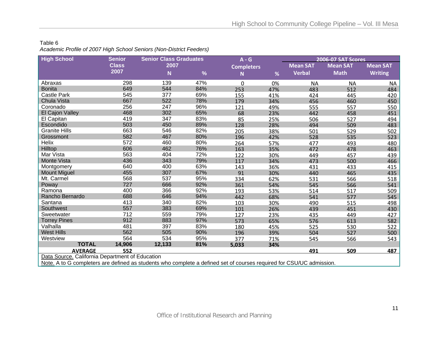#### Table 6 *Academic Profile of 2007 High School Seniors (Non-District Feeders)*

| <b>Mean SAT</b> |
|-----------------|
| <b>Writing</b>  |
| NA.             |
| 484             |
| 420             |
| 450             |
| 550             |
| 451             |
| 494             |
| 483             |
| 502             |
| 523             |
| 480             |
| 463             |
| 439             |
| 466             |
| 415             |
| 435             |
| 518             |
| 541             |
| 509             |
| 545             |
| 498             |
| 430             |
| 427             |
| 582             |
| 522             |
| 500             |
| 543             |
|                 |
| 487             |
|                 |
|                 |

<u>Note.</u> A to G completers are defined as students who complete a defined set of courses required for CSU/UC admission.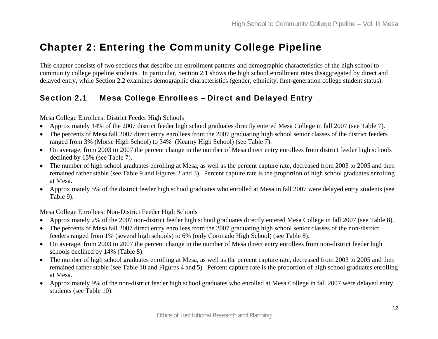# Chapter 2: Entering the Community College Pipeline

This chapter consists of two sections that describe the enrollment patterns and demographic characteristics of the high school to community college pipeline students. In particular, Section 2.1 shows the high school enrollment rates disaggregated by direct and delayed entry, while Section 2.2 examines demographic characteristics (gender, ethnicity, first-generation college student status).

# Section 2.1 Mesa College Enrollees – Direct and Delayed Entry

Mesa College Enrollees: District Feeder High Schools

- Approximately 14% of the 2007 district feeder high school graduates directly entered Mesa College in fall 2007 (see Table 7).
- The percents of Mesa fall 2007 direct entry enrollees from the 2007 graduating high school senior classes of the district feeders ranged from 3% (Morse High School) to 34% (Kearny High School) (see Table 7).
- On average, from 2003 to 2007 the percent change in the number of Mesa direct entry enrollees from district feeder high schools declined by 15% (see Table 7).
- The number of high school graduates enrolling at Mesa, as well as the percent capture rate, decreased from 2003 to 2005 and then remained rather stable (see Table 9 and Figures 2 and 3). Percent capture rate is the proportion of high school graduates enrolling at Mesa.
- Approximately 5% of the district feeder high school graduates who enrolled at Mesa in fall 2007 were delayed entry students (see Table 9).

Mesa College Enrollees: Non-District Feeder High Schools

- Approximately 2% of the 2007 non-district feeder high school graduates directly entered Mesa College in fall 2007 (see Table 8).
- The percents of Mesa fall 2007 direct entry enrollees from the 2007 graduating high school senior classes of the non-district feeders ranged from 1% (several high schools) to 6% (only Coronado High School) (see Table 8).
- On average, from 2003 to 2007 the percent change in the number of Mesa direct entry enrollees from non-district feeder high schools declined by 14% (Table 8).
- The number of high school graduates enrolling at Mesa, as well as the percent capture rate, decreased from 2003 to 2005 and then remained rather stable (see Table 10 and Figures 4 and 5). Percent capture rate is the proportion of high school graduates enrolling at Mesa.
- Approximately 9% of the non-district feeder high school graduates who enrolled at Mesa College in fall 2007 were delayed entry students (see Table 10).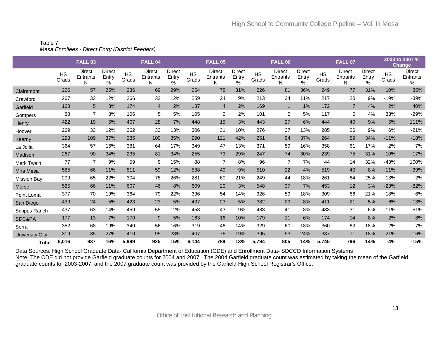#### Table 7 *Mesa Enrollees - Direct Entry (District Feeders)*

|                    |                    | <b>FALL 03</b>                 |                                |                    | FALL <sub>04</sub>      |                                |                    | <b>FALL 05</b>                 |                                |                    | <b>FALL 06</b>                 |                                |                    | <b>FALL 07</b>          |                                |                    | 2003 to 2007 %<br><b>Change</b> |
|--------------------|--------------------|--------------------------------|--------------------------------|--------------------|-------------------------|--------------------------------|--------------------|--------------------------------|--------------------------------|--------------------|--------------------------------|--------------------------------|--------------------|-------------------------|--------------------------------|--------------------|---------------------------------|
|                    | <b>HS</b><br>Grads | <b>Direct</b><br>Entrants<br>N | <b>Direct</b><br>Entry<br>$\%$ | <b>HS</b><br>Grads | Direct<br>Entrants<br>Ν | <b>Direct</b><br>Entry<br>$\%$ | <b>HS</b><br>Grads | <b>Direct</b><br>Entrants<br>N | <b>Direct</b><br>Entry<br>$\%$ | <b>HS</b><br>Grads | <b>Direct</b><br>Entrants<br>N | <b>Direct</b><br>Entry<br>$\%$ | <b>HS</b><br>Grads | Direct<br>Entrants<br>N | <b>Direct</b><br>Entry<br>$\%$ | <b>HS</b><br>Grads | Direct<br>Entrants<br>%         |
| Clairemont         | 226                | 57                             | 25%                            | 236                | 69                      | 29%                            | 254                | 78                             | 31%                            | 226                | 81                             | 36%                            | 249                | 77                      | 31%                            | 10%                | 35%                             |
| Crawford           | 267                | 33                             | 12%                            | 266                | 32                      | 12%                            | 259                | 24                             | 9%                             | 213                | 24                             | 11%                            | 217                | 20                      | 9%                             | $-19%$             | $-39%$                          |
| Garfield           | 168                | 5                              | 3%                             | 174                | $\overline{4}$          | 2%                             | 187                | $\overline{4}$                 | 2%                             | 169                | $\mathbf{1}$                   | 1%                             | 172                | $\overline{7}$          | 4%                             | 2%                 | 40%                             |
| Gompers            | 88                 | $\overline{7}$                 | 8%                             | 106                | 5                       | 5%                             | 105                | $\overline{c}$                 | 2%                             | 101                | 5                              | 5%                             | 117                | 5                       | 4%                             | 33%                | $-29%$                          |
| Henry              | 422                | 19                             | 5%                             | 407                | 28                      | 7%                             | 448                | 15                             | 3%                             | 443                | 27                             | 6%                             | 444                | 40                      | 9%                             | 5%                 | 111%                            |
| Hoover             | 269                | 33                             | 12%                            | 262                | 33                      | 13%                            | 306                | 31                             | 10%                            | 276                | 37                             | 13%                            | 285                | 26                      | 9%                             | 6%                 | $-21%$                          |
| Kearny             | 298                | 109                            | 37%                            | 285                | 100                     | 35%                            | 290                | 121                            | 42%                            | 251                | 94                             | 37%                            | 264                | 89                      | 34%                            | $-11%$             | $-18%$                          |
| La Jolla           | 364                | 57                             | 16%                            | 381                | 64                      | 17%                            | 349                | 47                             | 13%                            | 371                | 59                             | 16%                            | 358                | 61                      | 17%                            | $-2%$              | 7%                              |
| Madison            | 267                | 90                             | 34%                            | 235                | 81                      | 34%                            | 255                | 73                             | 29%                            | 247                | 74                             | 30%                            | 239                | 75                      | 31%                            | $-10%$             | $-17%$                          |
| <b>Mark Twain</b>  | 77                 | $\overline{7}$                 | 9%                             | 59                 | 9                       | 15%                            | 88                 | $\overline{7}$                 | 8%                             | 96                 | $\overline{7}$                 | 7%                             | 44                 | 14                      | 32%                            | $-43%$             | 100%                            |
| Mira Mesa          | 585                | 66                             | 11%                            | 511                | 59                      | 12%                            | 538                | 49                             | 9%                             | 510                | 22                             | 4%                             | 519                | 40                      | 8%                             | $-11%$             | $-39%$                          |
| <b>Mission Bay</b> | 299                | 65                             | 22%                            | 304                | 78                      | 26%                            | 281                | 60                             | 21%                            | 249                | 44                             | 18%                            | 261                | 64                      | 25%                            | $-13%$             | $-2%$                           |
| Morse              | 585                | 66                             | 11%                            | 607                | 46                      | 8%                             | 609                | 20                             | 3%                             | 548                | 37                             | 7%                             | 453                | 12                      | 3%                             | $-23%$             | $-82%$                          |
| Point Loma         | 377                | 70                             | 19%                            | 364                | 79                      | 22%                            | 396                | 54                             | 14%                            | 326                | 59                             | 18%                            | 309                | 66                      | 21%                            | $-18%$             | $-6%$                           |
| San Diego          | 439                | 24                             | 5%                             | 423                | 23                      | 5%                             | 437                | 23                             | 5%                             | 382                | 29                             | 8%                             | 411                | 21                      | 5%                             | $-6%$              | $-13%$                          |
| Scripps Ranch      | 437                | 63                             | 14%                            | 459                | 55                      | 12%                            | 453                | 43                             | 9%                             | 483                | 41                             | 8%                             | 483                | 31                      | 6%                             | 11%                | $-51%$                          |
| SDC&PA             | 177                | 13                             | 7%                             | 170                | 9                       | 5%                             | 163                | 16                             | 10%                            | 179                | 11                             | 6%                             | 174                | 14                      | 8%                             | $-2%$              | 8%                              |
| Serra              | 352                | 68                             | 19%                            | 340                | 56                      | 16%                            | 319                | 46                             | 14%                            | 329                | 60                             | 18%                            | 360                | 63                      | 18%                            | 2%                 | $-7%$                           |
| University City    | 319                | 85                             | 27%                            | 410                | 95                      | 23%                            | 407                | 76                             | 19%                            | 395                | 93                             | 24%                            | 387                | 71                      | 18%                            | 21%                | $-16%$                          |
| <b>Total</b>       | 6,016              | 937                            | 16%                            | 5,999              | 925                     | 15%                            | 6,144              | 789                            | 13%                            | 5,794              | 805                            | 14%                            | 5,746              | 796                     | 14%                            | $-4%$              | -15%                            |

Data Sources: High School Graduate Data- California Department of Education (CDE) and Enrollment Data- SDCCD Information Systems

<u>Note.</u> The CDE did not provide Garfield graduate counts for 2004 and 2007. The 2004 Garfield graduate count was estimated by taking the mean of the Garfield graduate counts for 2003-2007, and the 2007 graduate count was provided by the Garfield High School Registrar's Office.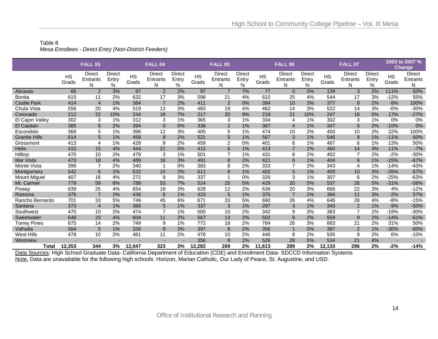#### Table 8 *Mesa Enrollees - Direct Entry (Non-District Feeders)*

|                      |           | <b>FALL 03</b> |               |           | FALL <sub>04</sub> |            |           | <b>FALL 05</b> |               |           | <b>FALL 06</b> |               |           | <b>FALL 07</b> |               |                          | 2003 to 2007 %<br><b>Change</b> |
|----------------------|-----------|----------------|---------------|-----------|--------------------|------------|-----------|----------------|---------------|-----------|----------------|---------------|-----------|----------------|---------------|--------------------------|---------------------------------|
|                      | <b>HS</b> | <b>Direct</b>  | <b>Direct</b> | <b>HS</b> | <b>Direct</b>      | Direct     | <b>HS</b> | <b>Direct</b>  | <b>Direct</b> | <b>HS</b> | <b>Direct</b>  | <b>Direct</b> | <b>HS</b> | <b>Direct</b>  | <b>Direct</b> | <b>HS</b>                | <b>Direct</b>                   |
|                      | Grads     | Entrants<br>N  | Entry<br>$\%$ | Grads     | Entrants<br>N      | Entry<br>% | Grads     | Entrants<br>N  | Entry<br>$\%$ | Grads     | Entrants<br>N  | Entry<br>$\%$ | Grads     | Entrants<br>N  | Entry<br>%    | Grads                    | Entrants<br>N                   |
| Abraxas              | 66        | 2              | 3%            | 97        | $\overline{2}$     | 2%         | 97        | $\overline{7}$ | 7%            | 77        | $\overline{0}$ | 0%            | 139       | 3              | 2%            | 111%                     | 50%                             |
| <b>Bonita</b>        | 615       | 11             | 2%            | 632       | 17                 | 3%         | 598       | 21             | 4%            | 610       | 25             | 4%            | 544       | 17             | 3%            | $-12%$                   | 55%                             |
| <b>Castle Park</b>   | 414       | $\overline{4}$ | 1%            | 384       | $\overline{7}$     | 2%         | 411       | $\overline{2}$ | 0%            | 394       | 10             | 3%            | 377       | 8              | 2%            | $-9%$                    | 100%                            |
| Chula Vista          | 556       | 20             | 4%            | 519       | 13                 | 3%         | 483       | 19             | 4%            | 462       | 14             | 3%            | 522       | 14             | 3%            | $-6%$                    | $-30%$                          |
| Coronado             | 212       | 22             | 10%           | 244       | 18                 | 7%         | 217       | 20             | 9%            | 218       | 21             | 10%           | 247       | 16             | 6%            | 17%                      | $-27%$                          |
| El Cajon Valley      | 302       | 3              | 1%            | 312       | 3                  | 1%         | 365       | 3              | 1%            | 334       | 4              | 1%            | 302       | 3              | 1%            | $0\%$                    | 0%                              |
| El Capitan           | 385       | 6              | 2%            | 394       | $\Omega$           | 0%         | 338       | 2              | 1%            | 367       | $\overline{4}$ | 1%            | 347       | 6              | 2%            | $-10%$                   | 0%                              |
| Escondido            | 368       | 5              | 1%            | 396       | 12                 | 3%         | 405       | 5              | 1%            | 474       | 10             | 2%            | 450       | 10             | 2%            | 22%                      | 100%                            |
| <b>Granite Hills</b> | 614       | 5              | 1%            | 458       | 8                  | 2%         | 521       | 5              | 1%            | 567       | 3              | 1%            | 546       | 8              | 1%            | $-11%$                   | 60%                             |
| Grossmont            | 413       | 4              | 1%            | 428       | 9                  | 2%         | 459       | 2              | 0%            | 401       | 6              | 1%            | 467       | 6              | 1%            | 13%                      | 50%                             |
| <b>Helix</b>         | 415       | 15             | 4%            | 444       | 21                 | 5%         | 412       | $\,6$          | 1%            | 413       | $\overline{7}$ | 2%            | 460       | 14             | 3%            | 11%                      | $-7%$                           |
| Hilltop              | 470       | 10             | 2%            | 479       | 3                  | 1%         | 501       | $\overline{7}$ | 1%            | 431       | 8              | 2%            | 462       | $\overline{7}$ | 2%            | $-2%$                    | $-30%$                          |
| Mar Vista            | 473       | 18             | 4%            | 489       | 16                 | 3%         | 491       | 8              | 2%            | 421       | 6              | 1%            | 404       | 6              | 1%            | $-15%$                   | $-67%$                          |
| Monte Vista          | 399       | $\overline{7}$ | 2%            | 340       |                    | 0%         | 383       | 8              | 2%            | 333       | 7              | 2%            | 343       | 4              | 1%            | $-14%$                   | $-43%$                          |
| Montgomery           | 542       | 6              | 1%            | 532       | 10 <sup>1</sup>    | 2%         | 611       | 8              | 1%            | 402       | 5              | 1%            | 400       | 10             | 3%            | $-26%$                   | 67%                             |
| <b>Mount Miguel</b>  | 407       | 16             | 4%            | 272       | 9                  | 3%         | 337       | -1             | 0%            | 326       | 3              | 1%            | 307       | 6              | 2%            | $-25%$                   | $-63%$                          |
| Mt. Carmel           | 779       | 59             | 8%            | 788       | 53                 | 7%         | 524       | 25             | 5%            | 429       | 20             | 5%            | 537       | 26             | 5%            | $-31%$                   | $-56%$                          |
| Poway                | 639       | 25             | 4%            | 654       | 18                 | 3%         | 628       | 12             | 2%            | 636       | 20             | 3%            | 666       | 22             | 3%            | 4%                       | $-12%$                          |
| Ramona               | 375       | $\overline{7}$ | 2%            | 436       | 6                  | 1%         | 423       | 5              | 1%            | 375       | $\overline{7}$ | 2%            | 366       | 11             | 3%            | $-2%$                    | 57%                             |
| Rancho Bernardo      | 701       | 33             | 5%            | 749       | 45                 | 6%         | 671       | 33             | 5%            | 690       | 26             | 4%            | 646       | 28             | 4%            | $-8%$                    | $-15%$                          |
| Santana              | 373       | $\overline{4}$ | 1%            | 366       | 5                  | 1%         | 337       | 3              | 1%            | 297       | 3              | 1%            | 340       | $\overline{2}$ | 1%            | $-9%$                    | $-50%$                          |
| Southwest            | 470       | 10             | 2%            | 474       | $\overline{7}$     | 1%         | 500       | 10             | 2%            | 342       | 9              | 3%            | 383       | $\overline{7}$ | 2%            | $-19%$                   | $-30%$                          |
| Sweetwater           | 648       | 23             | 4%            | 604       | 11                 | 2%         | 567       | 13             | 2%            | 502       | 8              | 2%            | 559       | 9              | 2%            | $-14%$                   | $-61%$                          |
| <b>Torrey Pines</b>  | 675       | 14             | 2%            | 749       | 9                  | 1%         | 772       | 18             | 2%            | 784       | 26             | 3%            | 883       | 21             | 2%            | 31%                      | 50%                             |
| Valhalla             | 564       | 5              | 1%            | 326       | 9                  | 3%         | 397       | 8              | 2%            | 356       |                | 0%            | 397       | $\overline{2}$ | 1%            | $-30%$                   | $-60%$                          |
| <b>West Hills</b>    | 478       | 10             | 2%            | 481       | 11                 | 2%         | 478       | 10             | 2%            | 446       | 8              | 2%            | 505       | 9              | 2%            | 6%                       | $-10%$                          |
| Westview             |           |                |               |           |                    |            | 356       | 8              | 2%            | 526       | 28             | 5%            | 534       | 21             | 4%            | $\overline{\phantom{a}}$ |                                 |
| <b>Total</b>         | 12,353    | 344            | 3%            | 12,047    | 323                | 3%         | 12.282    | 269            | 2%            | 11,613    | 289            | 2%            | 12,133    | 296            | 2%            | $-2%$                    | $-14%$                          |

Data Sources: High School Graduate Data- California Department of Education (CDE) and Enrollment Data- SDCCD Information Systems Note. Data are unavailable for the following high schools: Horizon, Marian Catholic, Our Lady of Peace, St. Augustine, and USD.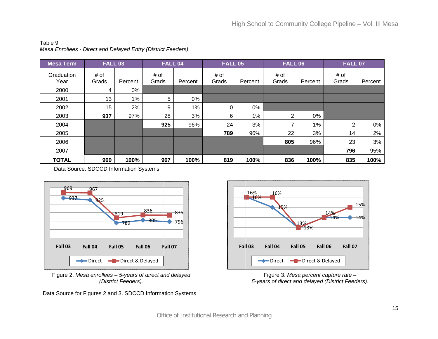#### Table 9 *Mesa Enrollees - Direct and Delayed Entry (District Feeders)*

| <b>Mesa Term</b>   | <b>FALL 03</b> |         | FALL 04       |         | <b>FALL 05</b> |         | <b>FALL 06</b> |         | <b>FALL 07</b> |         |
|--------------------|----------------|---------|---------------|---------|----------------|---------|----------------|---------|----------------|---------|
| Graduation<br>Year | # of<br>Grads  | Percent | # of<br>Grads | Percent | # of<br>Grads  | Percent | # of<br>Grads  | Percent | # of<br>Grads  | Percent |
| 2000               | 4              | 0%      |               |         |                |         |                |         |                |         |
| 2001               | 13             | 1%      | 5             | 0%      |                |         |                |         |                |         |
| 2002               | 15             | 2%      | 9             | 1%      | 0              | $0\%$   |                |         |                |         |
| 2003               | 937            | 97%     | 28            | 3%      | 6              | $1\%$   | $\overline{2}$ | 0%      |                |         |
| 2004               |                |         | 925           | 96%     | 24             | 3%      |                | 1%      | 2              | 0%      |
| 2005               |                |         |               |         | 789            | 96%     | 22             | 3%      | 14             | 2%      |
| 2006               |                |         |               |         |                |         | 805            | 96%     | 23             | 3%      |
| 2007               |                |         |               |         |                |         |                |         | 796            | 95%     |
| <b>TOTAL</b>       | 969            | 100%    | 967           | 100%    | 819            | 100%    | 836            | 100%    | 835            | 100%    |

Data Source. SDCCD Information Systems



Figure 2. *Me esa enrollees – 5- -years of direct an nd delayed (District F Feeders).* 

Data Source for Figures 2 and 3. SDCCD Information Systems



Figure 3. *Mesa percent capture rate* – *5-years of dire ect and delayed (D District Feeders).*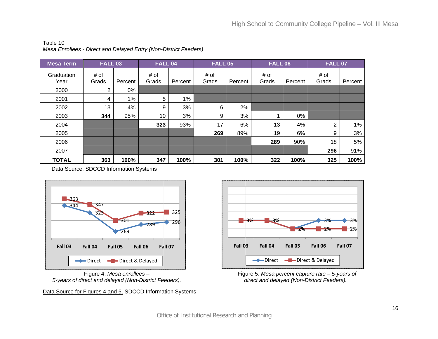| <b>Mesa Term</b>   | <b>FALL 03</b> |         | FALL 04       |         | <b>FALL 05</b> |         | <b>FALL 06</b> |         | <b>FALL 07</b> |         |
|--------------------|----------------|---------|---------------|---------|----------------|---------|----------------|---------|----------------|---------|
| Graduation<br>Year | # of<br>Grads  | Percent | # of<br>Grads | Percent | # of<br>Grads  | Percent | # of<br>Grads  | Percent | # of<br>Grads  | Percent |
| 2000               | 2              | 0%      |               |         |                |         |                |         |                |         |
| 2001               | 4              | $1\%$   | 5             | $1\%$   |                |         |                |         |                |         |
| 2002               | 13             | 4%      | 9             | 3%      | 6              | 2%      |                |         |                |         |
| 2003               | 344            | 95%     | 10            | 3%      | 9              | 3%      |                | $0\%$   |                |         |
| 2004               |                |         | 323           | 93%     | 17             | 6%      | 13             | 4%      | $\overline{2}$ | $1\%$   |
| 2005               |                |         |               |         | 269            | 89%     | 19             | 6%      | 9              | 3%      |
| 2006               |                |         |               |         |                |         | 289            | 90%     | 18             | 5%      |
| 2007               |                |         |               |         |                |         |                |         | 296            | 91%     |
| <b>TOTAL</b>       | 363            | 100%    | 347           | 100%    | 301            | 100%    | 322            | 100%    | 325            | 100%    |

Table 10 *Mesa Enrollees - Direct and Dela ayed Entry (Non-D District Feeders)*

Data Source. SDCCD Information Systems



*5-years of di direct and delayed d (Non-District Fe eeders).*  Figure 4. *Mesa e enrollees –* 

Data Source for Figures 4 and 5. SDCCD Information Systems



 Fig ure 5. *Mesa perc cent capture rate – – 5-years of d direct and delaye d (Non-District Fe eeders).*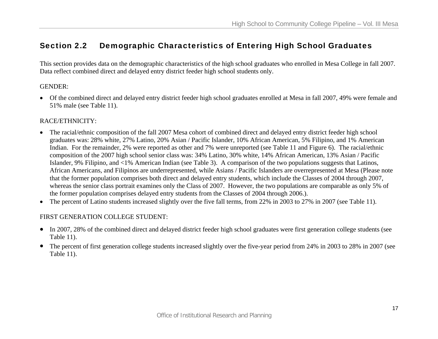### Section 2.2 Demographic Characteristics of Entering High School Graduates

This section provides data on the demographic characteristics of the high school graduates who enrolled in Mesa College in fall 2007. Data reflect combined direct and delayed entry district feeder high school students only.

#### GENDER:

• Of the combined direct and delayed entry district feeder high school graduates enrolled at Mesa in fall 2007, 49% were female and 51% male (see Table 11).

#### RACE/ETHNICITY:

- The racial/ethnic composition of the fall 2007 Mesa cohort of combined direct and delayed entry district feeder high school graduates was: 28% white, 27% Latino, 20% Asian / Pacific Islander, 10% African American, 5% Filipino, and 1% American Indian. For the remainder, 2% were reported as other and 7% were unreported (see Table 11 and Figure 6). The racial/ethnic composition of the 2007 high school senior class was: 34% Latino, 30% white, 14% African American, 13% Asian / Pacific Islander, 9% Filipino, and <1% American Indian (see Table 3). A comparison of the two populations suggests that Latinos, African Americans, and Filipinos are underrepresented, while Asians / Pacific Islanders are overrepresented at Mesa (Please note that the former population comprises both direct and delayed entry students, which include the Classes of 2004 through 2007, whereas the senior class portrait examines only the Class of 2007. However, the two populations are comparable as only 5% of the former population comprises delayed entry students from the Classes of 2004 through 2006.).
- The percent of Latino students increased slightly over the five fall terms, from 22% in 2003 to 27% in 2007 (see Table 11).

#### FIRST GENERATION COLLEGE STUDENT:

- In 2007, 28% of the combined direct and delayed district feeder high school graduates were first generation college students (see Table 11).
- The percent of first generation college students increased slightly over the five-year period from 24% in 2003 to 28% in 2007 (see Table 11).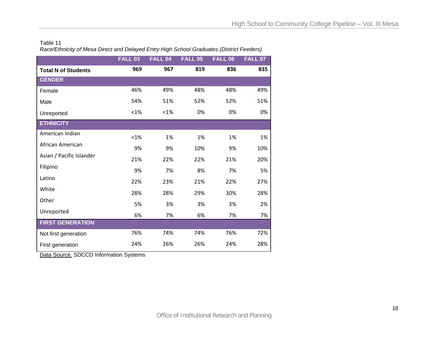#### Table 11 *Race/Ethnicity of Mesa Direct and Delayed Entry High School Graduates (District Feeders)*

|                            | <b>FALL 03</b> | FALL <sub>04</sub> | <b>FALL 05</b> | <b>FALL 06</b> | <b>FALL 07</b> |
|----------------------------|----------------|--------------------|----------------|----------------|----------------|
| <b>Total N of Students</b> | 969            | 967                | 819            | 836            | 835            |
| <b>GENDER</b>              |                |                    |                |                |                |
| Female                     | 46%            | 49%                | 48%            | 48%            | 49%            |
| Male                       | 54%            | 51%                | 52%            | 52%            | 51%            |
| Unreported                 | $< 1\%$        | $< 1\%$            | 0%             | 0%             | 0%             |
| <b>ETHNICITY</b>           |                |                    |                |                |                |
| American Indian            | < 1%           | 1%                 | 1%             | 1%             | 1%             |
| African American           | 9%             | 9%                 | 10%            | 9%             | 10%            |
| Asian / Pacific Islander   | 21%            | 22%                | 22%            | 21%            | 20%            |
| Filipino                   | 9%             | 7%                 | 8%             | 7%             | 5%             |
| Latino                     | 22%            | 23%                | 21%            | 22%            | 27%            |
| White                      | 28%            | 28%                | 29%            | 30%            | 28%            |
| Other                      | 5%             | 3%                 | 3%             | 3%             | 2%             |
| Unreported                 | 6%             | 7%                 | 6%             | 7%             | 7%             |
| <b>FIRST GENERATION</b>    |                |                    |                |                |                |
| Not first generation       | 76%            | 74%                | 74%            | 76%            | 72%            |
| First generation           | 24%            | 26%                | 26%            | 24%            | 28%            |

Data Source. SDCCD Information Systems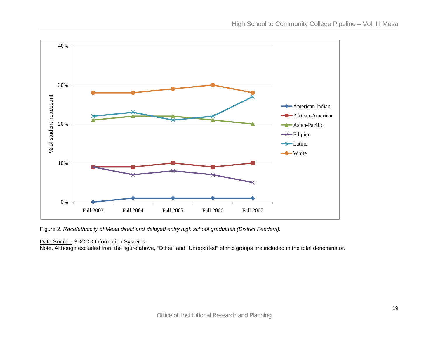

Figure 2. *Race/ethnicity of Mesa direct and delayed entry high school graduates (District Feeders).*

#### Data Source. SDCCD Information Systems

<u>Note.</u> Although excluded from the figure above, "Other" and "Unreported" ethnic groups are included in the total denominator.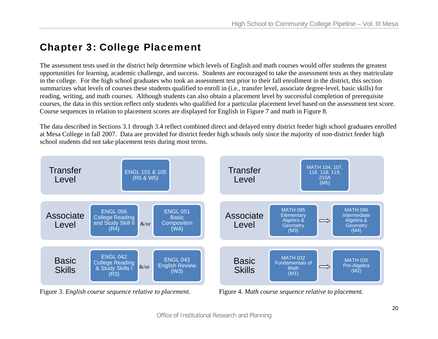# Chapter 3: College Placement

The assessment tests used in the district help determine which levels of English and math courses would offer students the greatest opportunities for learning, academic challenge, and success. Students are encouraged to take the assessment tests as they matriculate in the college. For the high school graduates who took an assessment test prior to their fall enrollment in the district, this section summarizes what levels of courses these students qualified to enroll in (i.e., transfer level, associate degree-level, basic skills) for reading, writing, and math courses. Although students can also obtain a placement level by successful completion of prerequisite courses, the data in this section reflect only students who qualified for a particular placement level based on the assessment test score*.* Course sequences in relation to placement scores are displayed for English in Figure 7 and math in Figure 8.

The data described in Sections 3.1 through 3.4 reflect combined direct and delayed entry district feeder high school graduates enrolled at Mesa College in fall 2007. Data are provided for district feeder high schools only since the majority of non-district feeder high school students did not take placement tests during most terms.



Figure 3. *English course sequence relative to placement.* Figure 4. *Math course sequence relative to placement.*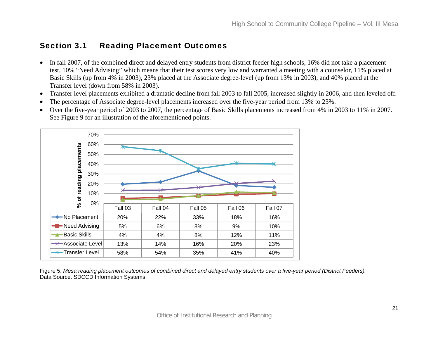### Section 3.1 Reading Placement Outcomes

- In fall 2007, of the combined direct and delayed entry students from district feeder high schools, 16% did not take a placement test, 10% "Need Advising" which means that their test scores very low and warranted a meeting with a counselor, 11% placed at Basic Skills (up from 4% in 2003), 23% placed at the Associate degree-level (up from 13% in 2003), and 40% placed at the Transfer level (down from 58% in 2003).
- •Transfer level placements exhibited a dramatic decline from fall 2003 to fall 2005, increased slightly in 2006, and then leveled off.
- •The percentage of Associate degree-level placements increased over the five-year period from 13% to 23%.
- Over the five-year period of 2003 to 2007, the percentage of Basic Skills placements increased from 4% in 2003 to 11% in 2007. See Figure 9 for an illustration of the aforementioned points.



Figure 5. *Mesa reading placement outcomes of combined direct and delayed entry students over a five-year period (District Feeders).*  Data Source. SDCCD Information Systems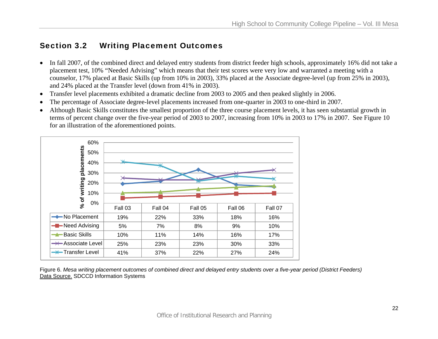### Section 3.2 Writing Placement Outcomes

- In fall 2007, of the combined direct and delayed entry students from district feeder high schools, approximately 16% did not take a placement test, 10% "Needed Advising" which means that their test scores were very low and warranted a meeting with a counselor, 17% placed at Basic Skills (up from 10% in 2003), 33% placed at the Associate degree-level (up from 25% in 2003), and 24% placed at the Transfer level (down from 41% in 2003).
- $\bullet$ Transfer level placements exhibited a dramatic decline from 2003 to 2005 and then peaked slightly in 2006.
- •The percentage of Associate degree-level placements increased from one-quarter in 2003 to one-third in 2007.
- • Although Basic Skills constitutes the smallest proportion of the three course placement levels, it has seen substantial growth in terms of percent change over the five-year period of 2003 to 2007, increasing from 10% in 2003 to 17% in 2007. See Figure 10 for an illustration of the aforementioned points.



Figure 6. *Mesa writing placement outcomes of combined direct and delayed entry students over a five-year period (District Feeders)*  Data Source. SDCCD Information Systems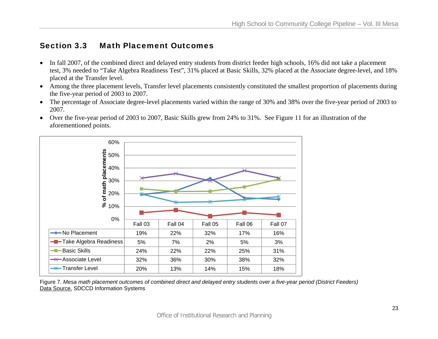### Section 3.3 Math Placement Outcomes

- In fall 2007, of the combined direct and delayed entry students from district feeder high schools, 16% did not take a placement test, 3% needed to "Take Algebra Readiness Test", 31% placed at Basic Skills, 32% placed at the Associate degree-level, and 18% placed at the Transfer level.
- Among the three placement levels, Transfer level placements consistently constituted the smallest proportion of placements during the five-year period of 2003 to 2007.
- The percentage of Associate degree-level placements varied within the range of 30% and 38% over the five-year period of 2003 to 2007.
- Over the five-year period of 2003 to 2007, Basic Skills grew from 24% to 31%. See Figure 11 for an illustration of the aforementioned points.



Figure 7. *Mesa math placement outcomes of combined direct and delayed entry students over a five-year period (District Feeders)*  Data Source. SDCCD Information Systems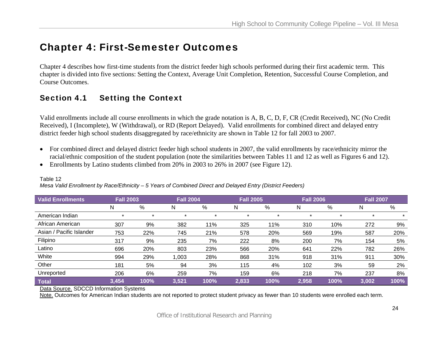# Chapter 4: First-Semester Outcomes

Chapter 4 describes how first-time students from the district feeder high schools performed during their first academic term. This chapter is divided into five sections: Setting the Context, Average Unit Completion, Retention, Successful Course Completion, and Course Outcomes.

# Section 4.1 Setting the Context

Valid enrollments include all course enrollments in which the grade notation is A, B, C, D, F, CR (Credit Received), NC (No Credit Received), I (Incomplete), W (Withdrawal), or RD (Report Delayed). Valid enrollments for combined direct and delayed entry district feeder high school students disaggregated by race/ethnicity are shown in Table 12 for fall 2003 to 2007.

- For combined direct and delayed district feeder high school students in 2007, the valid enrollments by race/ethnicity mirror the racial/ethnic composition of the student population (note the similarities between Tables 11 and 12 as well as Figures 6 and 12).
- Enrollments by Latino students climbed from 20% in 2003 to 26% in 2007 (see Figure 12).

| <b>Valid Enrollments</b> | <b>Fall 2003</b> |      | <b>Fall 2004</b> |      | <b>Fall 2005</b> |      | <b>Fall 2006</b> |      | <b>Fall 2007</b> |      |
|--------------------------|------------------|------|------------------|------|------------------|------|------------------|------|------------------|------|
|                          | N                | %    | N                | %    | N                | %    | N                | %    | N                | $\%$ |
| American Indian          | ÷                |      | $\star$          | *    | $\star$          |      |                  |      |                  |      |
| African American         | 307              | 9%   | 382              | 11%  | 325              | 11%  | 310              | 10%  | 272              | 9%   |
| Asian / Pacific Islander | 753              | 22%  | 745              | 21%  | 578              | 20%  | 569              | 19%  | 587              | 20%  |
| Filipino                 | 317              | 9%   | 235              | 7%   | 222              | 8%   | 200              | 7%   | 154              | 5%   |
| Latino                   | 696              | 20%  | 803              | 23%  | 566              | 20%  | 641              | 22%  | 782              | 26%  |
| White                    | 994              | 29%  | 1,003            | 28%  | 868              | 31%  | 918              | 31%  | 911              | 30%  |
| Other                    | 181              | 5%   | 94               | 3%   | 115              | 4%   | 102              | 3%   | 59               | 2%   |
| Unreported               | 206              | 6%   | 259              | 7%   | 159              | 6%   | 218              | 7%   | 237              | 8%   |
| <b>Total</b>             | 3,454            | 100% | 3,521            | 100% | 2,833            | 100% | 2,958            | 100% | 3,002            | 100% |

#### Table 12

*Mesa Valid Enrollment by Race/Ethnicity – 5 Years of Combined Direct and Delayed Entry (District Feeders)* 

Data Source. SDCCD Information Systems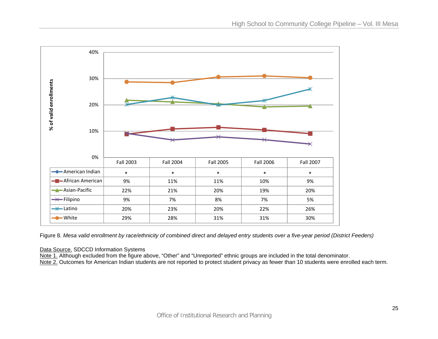

Figure 8. *Mesa valid enrollment by race/ethnicity of combined direct and delayed entry students over a five-year period (District Feeders)*

Data Source. SDCCD Information Systems

Note 1. Although excluded from the figure above, "Other" and "Unreported" ethnic groups are included in the total denominator. Note 2. Outcomes for American Indian students are not reported to protect student privacy as fewer than 10 students were enrolled each term.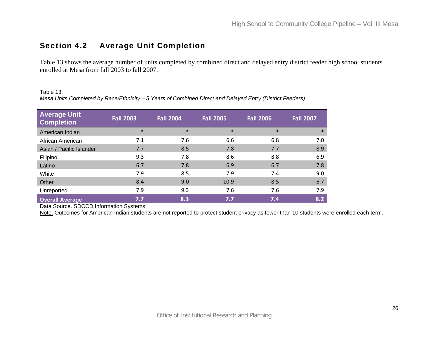# Section 4.2 Average Unit Completion

Table 13 shows the average number of units completed by combined direct and delayed entry district feeder high school students enrolled at Mesa from fall 2003 to fall 2007.

Table 13 *Mesa Units Completed by Race/Ethnicity – 5 Years of Combined Direct and Delayed Entry (District Feeders)* 

| <b>Average Unit</b><br><b>Completion</b> | <b>Fall 2003</b> | <b>Fall 2004</b> | <b>Fall 2005</b> | <b>Fall 2006</b> | Fall 2007 |
|------------------------------------------|------------------|------------------|------------------|------------------|-----------|
| American Indian                          | $\ast$           | $\ast$           | $\ast$           | $\ast$           | $\ast$    |
| African American                         | 7.1              | 7.6              | 6.6              | 6.8              | 7.0       |
| Asian / Pacific Islander                 | 7.7              | 8.5              | 7.8              | 7.7              | 8.9       |
| Filipino                                 | 9.3              | 7.8              | 8.6              | 8.8              | 6.9       |
| Latino                                   | 6.7              | 7.8              | 6.9              | 6.7              | 7.8       |
| White                                    | 7.9              | 8.5              | 7.9              | 7.4              | 9.0       |
| Other                                    | 8.4              | 9.0              | 10.9             | 8.5              | 6.7       |
| Unreported                               | 7.9              | 9.3              | 7.6              | 7.6              | 7.9       |
| <b>Overall Average</b>                   | 7.7              | 8.3              | 7.7              | 7.4              | 8.2       |

Data Source. SDCCD Information Systems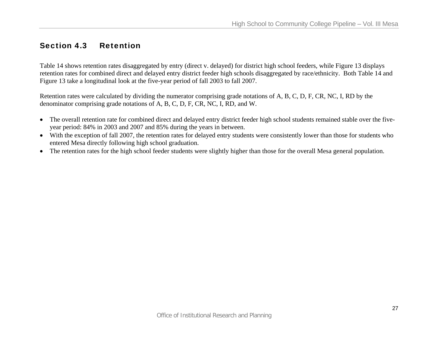## Section 4.3 Retention

Table 14 shows retention rates disaggregated by entry (direct v. delayed) for district high school feeders, while Figure 13 displays retention rates for combined direct and delayed entry district feeder high schools disaggregated by race/ethnicity. Both Table 14 and Figure 13 take a longitudinal look at the five-year period of fall 2003 to fall 2007.

Retention rates were calculated by dividing the numerator comprising grade notations of A, B, C, D, F, CR, NC, I, RD by the denominator comprising grade notations of A, B, C, D, F, CR, NC, I, RD, and W.

- The overall retention rate for combined direct and delayed entry district feeder high school students remained stable over the fiveyear period: 84% in 2003 and 2007 and 85% during the years in between.
- With the exception of fall 2007, the retention rates for delayed entry students were consistently lower than those for students who entered Mesa directly following high school graduation.
- The retention rates for the high school feeder students were slightly higher than those for the overall Mesa general population.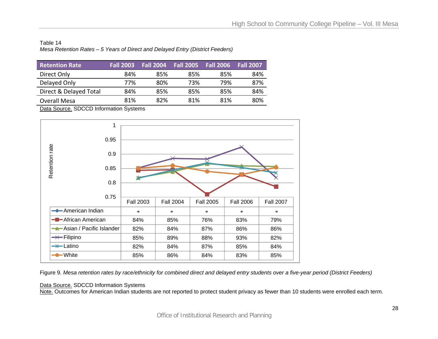Table 14 *Mesa Retention Rates – 5 Years of Direct and Delayed Entry (District Feeders)* 

| <b>Retention Rate</b>  | <b>Fall 2003</b> | <b>Fall 2004</b> | Fall 2005 | <b>Fall 2006</b> | <b>Fall 2007</b> |
|------------------------|------------------|------------------|-----------|------------------|------------------|
| Direct Only            | 84%              | 85%              | 85%       | 85%              | 84%              |
| Delayed Only           | 77%              | 80%              | 73%       | 79%              | 87%              |
| Direct & Delayed Total | 84%              | 85%              | 85%       | 85%              | 84%              |
| <b>Overall Mesa</b>    | 81%              | 82%              | 81%       | 81%              | 80%              |

Data Source. SDCCD Information Systems



Figure 9. *Mesa retention rates by race/ethnicity for combined direct and delayed entry students over a five-year period (District Feeders)* 

#### Data Source. SDCCD Information Systems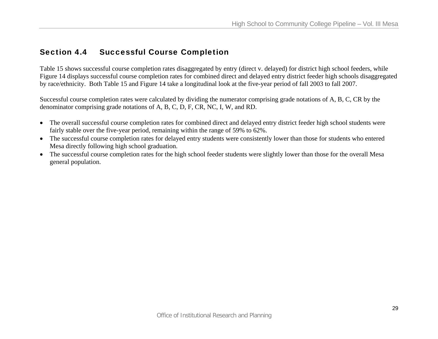### Section 4.4 Successful Course Completion

Table 15 shows successful course completion rates disaggregated by entry (direct v. delayed) for district high school feeders, while Figure 14 displays successful course completion rates for combined direct and delayed entry district feeder high schools disaggregated by race/ethnicity. Both Table 15 and Figure 14 take a longitudinal look at the five-year period of fall 2003 to fall 2007.

Successful course completion rates were calculated by dividing the numerator comprising grade notations of A, B, C, CR by the denominator comprising grade notations of A, B, C, D, F, CR, NC, I, W, and RD.

- The overall successful course completion rates for combined direct and delayed entry district feeder high school students were fairly stable over the five-year period, remaining within the range of 59% to 62%.
- The successful course completion rates for delayed entry students were consistently lower than those for students who entered Mesa directly following high school graduation.
- The successful course completion rates for the high school feeder students were slightly lower than those for the overall Mesa general population.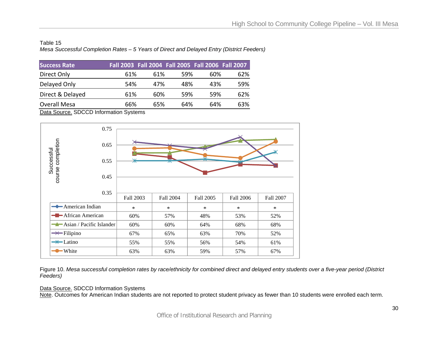#### Table 15 *Mesa Successful Completion Rates – 5 Years of Direct and Delayed Entry (District Feeders)*

| <b>Success Rate</b> | Fall 2003 Fall 2004 Fall 2005 Fall 2006 Fall 2007 |     |      |      |     |
|---------------------|---------------------------------------------------|-----|------|------|-----|
| Direct Only         | 61%                                               | 61% | .59% | 60%  | 62% |
| Delayed Only        | 54%                                               | 47% | 48%  | 43%  | 59% |
| Direct & Delayed    | 61%                                               | 60% | 59%  | .59% | 62% |
| <b>Overall Mesa</b> | 66%                                               | 65% | 64%  | 64%  | 63% |

Data Source. SDCCD Information Systems



Figure 10. *Mesa successful completion rates by race/ethnicity for combined direct and delayed entry students over a five-year period (District Feeders)* 

#### Data Source. SDCCD Information Systems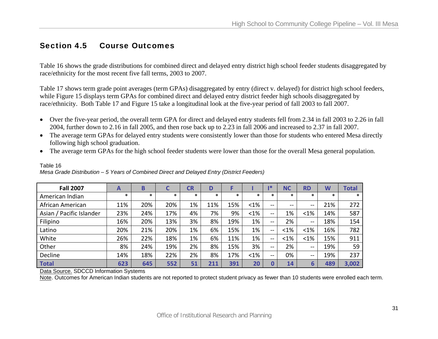### Section 4.5 Course Outcomes

Table 16 shows the grade distributions for combined direct and delayed entry district high school feeder students disaggregated by race/ethnicity for the most recent five fall terms, 2003 to 2007.

Table 17 shows term grade point averages (term GPAs) disaggregated by entry (direct v. delayed) for district high school feeders, while Figure 15 displays term GPAs for combined direct and delayed entry district feeder high schools disaggregated by race/ethnicity. Both Table 17 and Figure 15 take a longitudinal look at the five-year period of fall 2003 to fall 2007.

- Over the five-year period, the overall term GPA for direct and delayed entry students fell from 2.34 in fall 2003 to 2.26 in fall 2004, further down to 2.16 in fall 2005, and then rose back up to 2.23 in fall 2006 and increased to 2.37 in fall 2007.
- The average term GPAs for delayed entry students were consistently lower than those for students who entered Mesa directly following high school graduation.
- The average term GPAs for the high school feeder students were lower than those for the overall Mesa general population.

| <b>Fall 2007</b>         | A      | B   |        | CR     | D      |        |        | 1*                       | <b>NC</b>     | <b>RD</b>     | W      | <b>Total</b> |
|--------------------------|--------|-----|--------|--------|--------|--------|--------|--------------------------|---------------|---------------|--------|--------------|
| American Indian          | $\ast$ | *   | $\ast$ | $\ast$ | $\ast$ | $\ast$ | $\ast$ | $\ast$                   | $\ast$        | $\ast$        | $\ast$ | $\ast$       |
| African American         | 11%    | 20% | 20%    | 1%     | 11%    | 15%    | <1%    | $\sim$ $\sim$            | $\sim$ $\sim$ | $\sim$ $\sim$ | 21%    | 272          |
| Asian / Pacific Islander | 23%    | 24% | 17%    | 4%     | 7%     | 9%     | <1%    | $\sim$ $\sim$            | 1%            | $< 1\%$       | 14%    | 587          |
| Filipino                 | 16%    | 20% | 13%    | 3%     | 8%     | 19%    | 1%     | $\sim$ $\sim$            | 2%            | $- -$         | 18%    | 154          |
| Latino                   | 20%    | 21% | 20%    | 1%     | 6%     | 15%    | 1%     | $\sim$ $\sim$            | $< 1\%$       | $< 1\%$       | 16%    | 782          |
| White                    | 26%    | 22% | 18%    | 1%     | 6%     | 11%    | 1%     | $\overline{\phantom{m}}$ | $< 1\%$       | $< 1\%$       | 15%    | 911          |
| Other                    | 8%     | 24% | 19%    | 2%     | 8%     | 15%    | 3%     | $- -$                    | 2%            | $- -$         | 19%    | 59           |
| Decline                  | 14%    | 18% | 22%    | 2%     | 8%     | 17%    | <1%    | $\sim$ $\sim$            | 0%            | $\sim$        | 19%    | 237          |
| Total                    | 623    | 645 | 552    | 51     | 211    | 391    | 20     | 0                        | 14            | 6             | 489    | 3,002        |

#### Table 16 *Mesa Grade Distribution – 5 Years of Combined Direct and Delayed Entry (District Feeders)*

Data Source. SDCCD Information Systems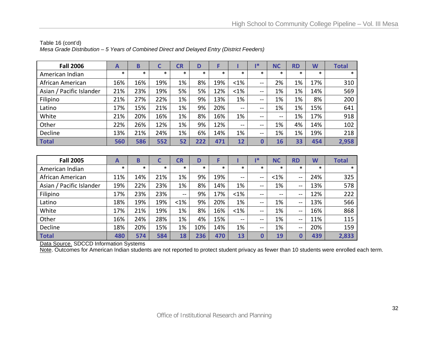| <b>Fall 2006</b>         | A      | B      | C      | CR     | D      |        |               | ı*            | <b>NC</b> | <b>RD</b> | W      | <b>Total</b> |
|--------------------------|--------|--------|--------|--------|--------|--------|---------------|---------------|-----------|-----------|--------|--------------|
| American Indian          | $\ast$ | $\ast$ | $\ast$ | $\ast$ | $\ast$ | $\ast$ | $\ast$        | $\ast$        | $\ast$    | $\ast$    | $\ast$ | $\ast$       |
| African American         | 16%    | 16%    | 19%    | 1%     | 8%     | 19%    | $< 1\%$       | $\sim$ $\sim$ | 2%        | 1%        | 17%    | 310          |
| Asian / Pacific Islander | 21%    | 23%    | 19%    | 5%     | 5%     | 12%    | $< 1\%$       | --            | 1%        | 1%        | 14%    | 569          |
| Filipino                 | 21%    | 27%    | 22%    | 1%     | 9%     | 13%    | 1%            | $\sim$ $\sim$ | 1%        | 1%        | 8%     | 200          |
| Latino                   | 17%    | 15%    | 21%    | 1%     | 9%     | 20%    | $\sim$        | $- -$         | 1%        | 1%        | 15%    | 641          |
| White                    | 21%    | 20%    | 16%    | 1%     | 8%     | 16%    | 1%            | $\sim$ $\sim$ | $- -$     | 1%        | 17%    | 918          |
| Other                    | 22%    | 26%    | 12%    | 1%     | 9%     | 12%    | $\sim$ $\sim$ | --            | 1%        | 4%        | 14%    | 102          |
| Decline                  | 13%    | 21%    | 24%    | 1%     | 6%     | 14%    | 1%            | $\sim$ $\sim$ | 1%        | 1%        | 19%    | 218          |
| <b>Total</b>             | 560    | 586    | 552    | 52     | 222    | 471    | 12            | Ω             | 16        | 33        | 454    | 2,958        |

#### Table 16 (cont'd) *Mesa Grade Distribution – 5 Years of Combined Direct and Delayed Entry (District Feeders)*

| <b>Fall 2005</b>         | $\mathbf{A}$ | B   |        | <b>CR</b>     | D      |        |               | $1*$                     | <b>NC</b> | <b>RD</b> | W      | <b>Total</b> |
|--------------------------|--------------|-----|--------|---------------|--------|--------|---------------|--------------------------|-----------|-----------|--------|--------------|
| American Indian          | $\ast$       | *   | $\ast$ | $\ast$        | $\ast$ | $\ast$ | $\ast$        | $\ast$                   | $\ast$    | $\ast$    | $\ast$ | $\ast$       |
| African American         | 11%          | 14% | 21%    | $1\%$         | 9%     | 19%    | $\sim$ $\sim$ | $\sim$ $\sim$            | $< 1\%$   | --        | 24%    | 325          |
| Asian / Pacific Islander | 19%          | 22% | 23%    | 1%            | 8%     | 14%    | 1%            | $\sim$ $\sim$            | 1%        | --        | 13%    | 578          |
| Filipino                 | 17%          | 23% | 23%    | $\sim$ $\sim$ | 9%     | 17%    | $< 1\%$       | $\sim$ $\sim$            | $- -$     | --        | 12%    | 222          |
| Latino                   | 18%          | 19% | 19%    | $< 1\%$       | 9%     | 20%    | 1%            | $\sim$ $\sim$            | 1%        | --        | 13%    | 566          |
| White                    | 17%          | 21% | 19%    | 1%            | 8%     | 16%    | $< 1\%$       | $\sim$ $\sim$            | 1%        | --        | 16%    | 868          |
| Other                    | 16%          | 24% | 28%    | 1%            | 4%     | 15%    | $\sim$        | $\overline{\phantom{m}}$ | 1%        | $- -$     | 11%    | 115          |
| Decline                  | 18%          | 20% | 15%    | 1%            | 10%    | 14%    | 1%            | $\sim$ $-$               | 1%        | --        | 20%    | 159          |
| Total                    | 480          | 574 | 584    | 18            | 236    | 470    | 13            |                          | 19        | 0         | 439    | 2,833        |

Data Source. SDCCD Information Systems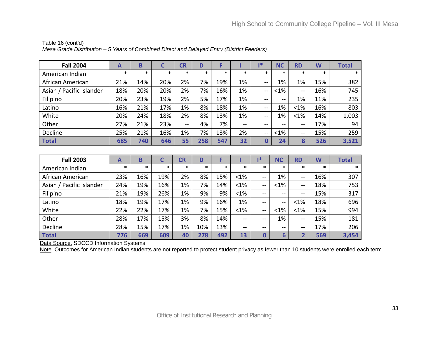| <b>Fall 2004</b>         | A      | B      | C      | CR     | D      |        |        | ∎*                                    | <b>NC</b> | <b>RD</b>     | W      | <b>Total</b> |
|--------------------------|--------|--------|--------|--------|--------|--------|--------|---------------------------------------|-----------|---------------|--------|--------------|
| American Indian          | $\ast$ | $\ast$ | $\ast$ | $\ast$ | $\ast$ | $\ast$ | $\ast$ | $\ast$                                | $\ast$    | *             | $\ast$ | $\ast$       |
| African American         | 21%    | 14%    | 20%    | 2%     | 7%     | 19%    | 1%     | $\sim$ $\sim$                         | 1%        | 1%            | 15%    | 382          |
| Asian / Pacific Islander | 18%    | 20%    | 20%    | 2%     | 7%     | 16%    | 1%     | $\hspace{0.1em}$                      | $< 1\%$   | $\sim$ $\sim$ | 16%    | 745          |
| Filipino                 | 20%    | 23%    | 19%    | 2%     | 5%     | 17%    | 1%     | $\sim$ $\sim$                         | $-$       | 1%            | 11%    | 235          |
| Latino                   | 16%    | 21%    | 17%    | 1%     | 8%     | 18%    | 1%     | $\sim$ $\sim$                         | 1%        | $< 1\%$       | 16%    | 803          |
| White                    | 20%    | 24%    | 18%    | 2%     | 8%     | 13%    | 1%     | $\overline{\phantom{m}}$              | 1%        | $< 1\%$       | 14%    | 1,003        |
| Other                    | 27%    | 21%    | 23%    | $- -$  | 4%     | 7%     | $\sim$ | $\sim$ $\sim$                         | $- -$     | $\sim$ $\sim$ | 17%    | 94           |
| Decline                  | 25%    | 21%    | 16%    | 1%     | 7%     | 13%    | 2%     | $\hspace{0.05cm}$ – $\hspace{0.05cm}$ | $< 1\%$   | $\sim$ $\sim$ | 15%    | 259          |
| Total                    | 685    | 740    | 646    | 55     | 258    | 547    | 32     | 0                                     | 24        | 8             | 526    | 3,521        |

#### Table 16 (cont'd) *Mesa Grade Distribution – 5 Years of Combined Direct and Delayed Entry (District Feeders)*

| <b>Fall 2003</b>         | A      | B      | C      | <b>CR</b> | D      |        |         | 1*                                             | <b>NC</b>     | <b>RD</b>                | W      | <b>Total</b> |
|--------------------------|--------|--------|--------|-----------|--------|--------|---------|------------------------------------------------|---------------|--------------------------|--------|--------------|
| American Indian          | $\ast$ | $\ast$ | $\ast$ | $\ast$    | $\ast$ | $\ast$ | $\ast$  | $\ast$                                         | $\ast$        | $\ast$                   | $\ast$ | $\ast$       |
| African American         | 23%    | 16%    | 19%    | 2%        | 8%     | 15%    | $<1\%$  | $\hspace{0.1mm}-\hspace{0.1mm}-\hspace{0.1mm}$ | 1%            | $\overline{\phantom{a}}$ | 16%    | 307          |
| Asian / Pacific Islander | 24%    | 19%    | 16%    | 1%        | 7%     | 14%    | $<1\%$  | $-$                                            | $< 1\%$       | $\overline{\phantom{a}}$ | 18%    | 753          |
| Filipino                 | 21%    | 19%    | 26%    | 1%        | 9%     | 9%     | $< 1\%$ | --                                             | $\sim$ $\sim$ | $- -$                    | 15%    | 317          |
| Latino                   | 18%    | 19%    | 17%    | 1%        | 9%     | 16%    | 1%      | --                                             | $- -$         | $< 1\%$                  | 18%    | 696          |
| White                    | 22%    | 22%    | 17%    | 1%        | 7%     | 15%    | $< 1\%$ | $-$                                            | $< 1\%$       | $< 1\%$                  | 15%    | 994          |
| Other                    | 28%    | 17%    | 15%    | 3%        | 8%     | 14%    | $\sim$  | $\sim$ $\sim$                                  | 1%            | $\sim$                   | 15%    | 181          |
| Decline                  | 28%    | 15%    | 17%    | 1%        | 10%    | 13%    | $\sim$  | $\sim$ $\sim$                                  | $\sim$        | $-$                      | 17%    | 206          |
| Total                    | 776    | 669    | 609    | 40        | 278    | 492    | 13      | 0                                              | 6             | ว                        | 569    | 3,454        |

Data Source. SDCCD Information Systems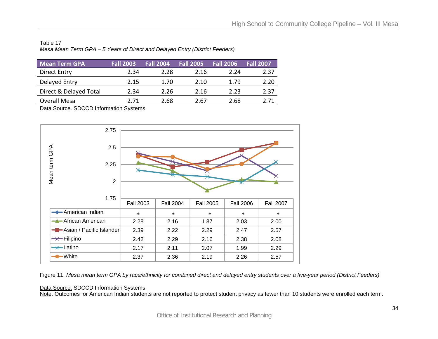| Table 17                                                                    |  |
|-----------------------------------------------------------------------------|--|
| Mesa Mean Term GPA – 5 Years of Direct and Delayed Entry (District Feeders) |  |

| <b>Mean Term GPA</b>   | <b>Fall 2003</b> | <b>Fall 2004</b> | <b>Fall 2005</b> | <b>Fall 2006</b> | <b>Fall 2007</b> |
|------------------------|------------------|------------------|------------------|------------------|------------------|
| <b>Direct Entry</b>    | 2.34             | 2.28             | 2.16             | 2.24             | 2.37             |
| Delayed Entry          | 2.15             | 1.70             | 2.10             | 1.79             | 2.20             |
| Direct & Delayed Total | 2.34             | 2.26             | 2.16             | 2.23             | 2.37             |
| <b>Overall Mesa</b>    | 2 71             | 2.68             | 2.67             | 2.68             | 2 71             |

Data Source. SDCCD Information Systems



Figure 11. *Mesa mean term GPA by race/ethnicity for combined direct and delayed entry students over a five-year period (District Feeders)* 

#### Data Source. SDCCD Information Systems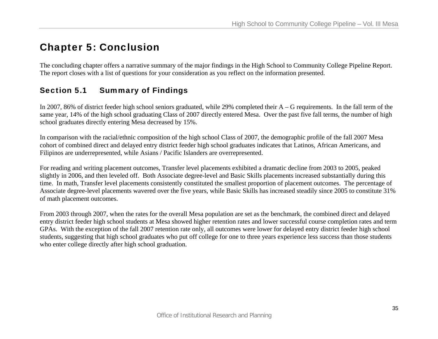# Chapter 5: Conclusion

The concluding chapter offers a narrative summary of the major findings in the High School to Community College Pipeline Report. The report closes with a list of questions for your consideration as you reflect on the information presented.

# Section 5.1 Summary of Findings

In 2007, 86% of district feeder high school seniors graduated, while 29% completed their A – G requirements. In the fall term of the same year, 14% of the high school graduating Class of 2007 directly entered Mesa. Over the past five fall terms, the number of high school graduates directly entering Mesa decreased by 15%.

In comparison with the racial/ethnic composition of the high school Class of 2007, the demographic profile of the fall 2007 Mesa cohort of combined direct and delayed entry district feeder high school graduates indicates that Latinos, African Americans, and Filipinos are underrepresented, while Asians / Pacific Islanders are overrepresented.

For reading and writing placement outcomes, Transfer level placements exhibited a dramatic decline from 2003 to 2005, peaked slightly in 2006, and then leveled off. Both Associate degree-level and Basic Skills placements increased substantially during this time. In math, Transfer level placements consistently constituted the smallest proportion of placement outcomes. The percentage of Associate degree-level placements wavered over the five years, while Basic Skills has increased steadily since 2005 to constitute 31% of math placement outcomes.

From 2003 through 2007, when the rates for the overall Mesa population are set as the benchmark, the combined direct and delayed entry district feeder high school students at Mesa showed higher retention rates and lower successful course completion rates and term GPAs. With the exception of the fall 2007 retention rate only, all outcomes were lower for delayed entry district feeder high school students, suggesting that high school graduates who put off college for one to three years experience less success than those students who enter college directly after high school graduation.